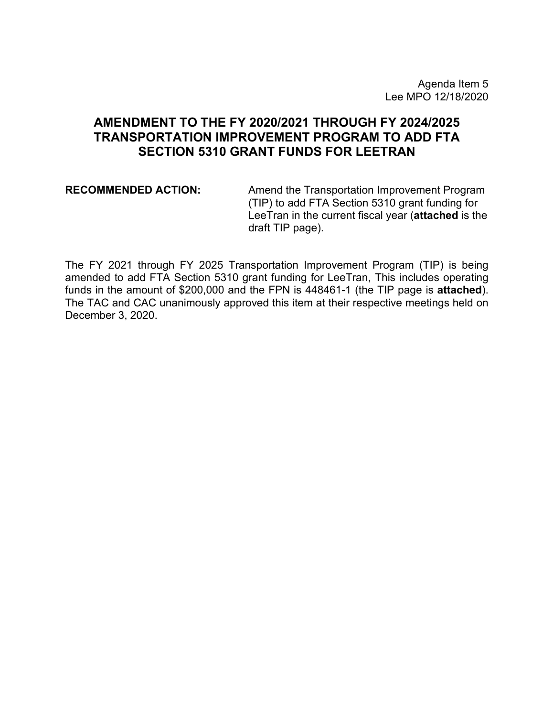## **AMENDMENT TO THE FY 2020/2021 THROUGH FY 2024/2025 TRANSPORTATION IMPROVEMENT PROGRAM TO ADD FTA SECTION 5310 GRANT FUNDS FOR LEETRAN**

**RECOMMENDED ACTION:** Amend the Transportation Improvement Program (TIP) to add FTA Section 5310 grant funding for LeeTran in the current fiscal year (**attached** is the draft TIP page).

The FY 2021 through FY 2025 Transportation Improvement Program (TIP) is being amended to add FTA Section 5310 grant funding for LeeTran, This includes operating funds in the amount of \$200,000 and the FPN is 448461-1 (the TIP page is **attached**). The TAC and CAC unanimously approved this item at their respective meetings held on December 3, 2020.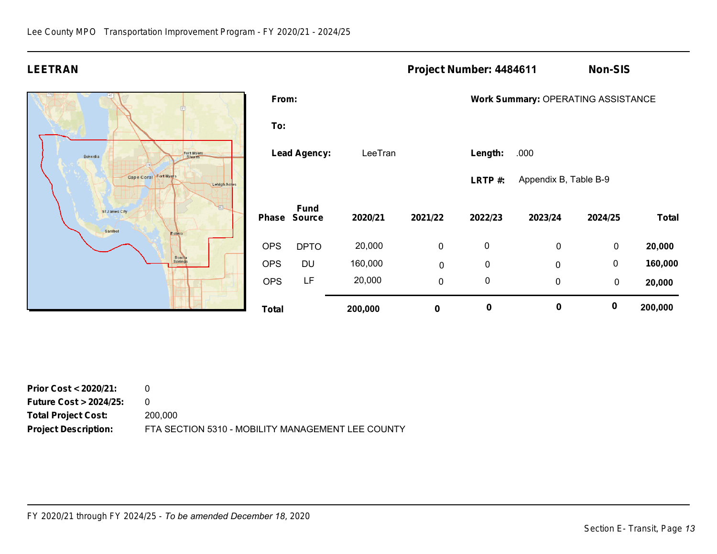## **LEETRAN Project Number: 4484611 Non-SIS**



| From:               |                              |         |             |           | Work Summary: OPERATING ASSISTANCE |           |              |  |
|---------------------|------------------------------|---------|-------------|-----------|------------------------------------|-----------|--------------|--|
| To:                 |                              |         |             |           |                                    |           |              |  |
| <b>Lead Agency:</b> |                              | LeeTran |             | Length:   | .000                               |           |              |  |
|                     |                              |         |             | LRTP#:    | Appendix B, Table B-9              |           |              |  |
| Phase               | <b>Fund</b><br><b>Source</b> | 2020/21 | 2021/22     | 2022/23   | 2023/24                            | 2024/25   | <b>Total</b> |  |
| <b>OPS</b>          | <b>DPTO</b>                  | 20,000  | 0           | 0         | 0                                  | 0         | 20,000       |  |
| <b>OPS</b>          | DU                           | 160,000 | $\mathbf 0$ | 0         | $\mathbf 0$                        | 0         | 160,000      |  |
| <b>OPS</b>          | LF                           | 20,000  | 0           | 0         | 0                                  | $\pmb{0}$ | 20,000       |  |
| Total               |                              | 200,000 | 0           | $\pmb{0}$ | 0                                  | $\bf{0}$  | 200,000      |  |

| <b>Prior Cost &lt; 2020/21:</b>  |                                                   |
|----------------------------------|---------------------------------------------------|
| <b>Future Cost &gt; 2024/25:</b> |                                                   |
| <b>Total Project Cost:</b>       | 200,000                                           |
| <b>Project Description:</b>      | FTA SECTION 5310 - MOBILITY MANAGEMENT LEE COUNTY |

*FY 2020/21 through FY 2024/25 - To be amended December 18, 2020*